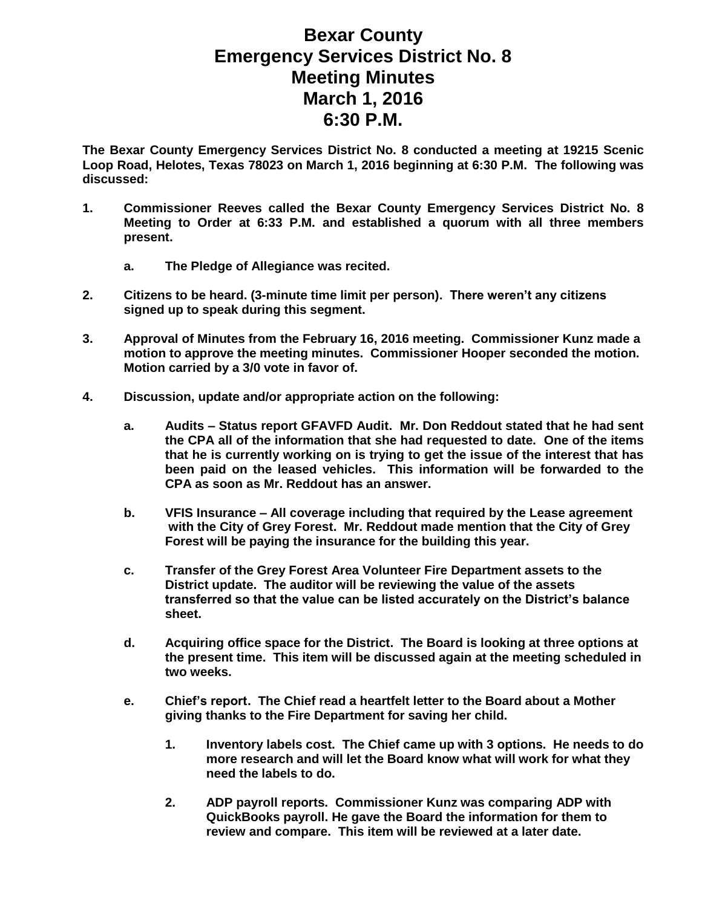## **Bexar County Emergency Services District No. 8 Meeting Minutes March 1, 2016 6:30 P.M.**

**The Bexar County Emergency Services District No. 8 conducted a meeting at 19215 Scenic Loop Road, Helotes, Texas 78023 on March 1, 2016 beginning at 6:30 P.M. The following was discussed:**

- **1. Commissioner Reeves called the Bexar County Emergency Services District No. 8 Meeting to Order at 6:33 P.M. and established a quorum with all three members present.** 
	- **a. The Pledge of Allegiance was recited.**
- **2. Citizens to be heard. (3-minute time limit per person). There weren't any citizens signed up to speak during this segment.**
- **3. Approval of Minutes from the February 16, 2016 meeting. Commissioner Kunz made a motion to approve the meeting minutes. Commissioner Hooper seconded the motion. Motion carried by a 3/0 vote in favor of.**
- **4. Discussion, update and/or appropriate action on the following:**
	- **a. Audits – Status report GFAVFD Audit. Mr. Don Reddout stated that he had sent the CPA all of the information that she had requested to date. One of the items that he is currently working on is trying to get the issue of the interest that has been paid on the leased vehicles. This information will be forwarded to the CPA as soon as Mr. Reddout has an answer.**
	- **b. VFIS Insurance – All coverage including that required by the Lease agreement with the City of Grey Forest. Mr. Reddout made mention that the City of Grey Forest will be paying the insurance for the building this year.**
	- **c. Transfer of the Grey Forest Area Volunteer Fire Department assets to the District update. The auditor will be reviewing the value of the assets transferred so that the value can be listed accurately on the District's balance sheet.**
	- **d. Acquiring office space for the District. The Board is looking at three options at the present time. This item will be discussed again at the meeting scheduled in two weeks.**
	- **e. Chief's report. The Chief read a heartfelt letter to the Board about a Mother giving thanks to the Fire Department for saving her child.**
		- **1. Inventory labels cost. The Chief came up with 3 options. He needs to do more research and will let the Board know what will work for what they need the labels to do.**
		- **2. ADP payroll reports. Commissioner Kunz was comparing ADP with QuickBooks payroll. He gave the Board the information for them to review and compare. This item will be reviewed at a later date.**